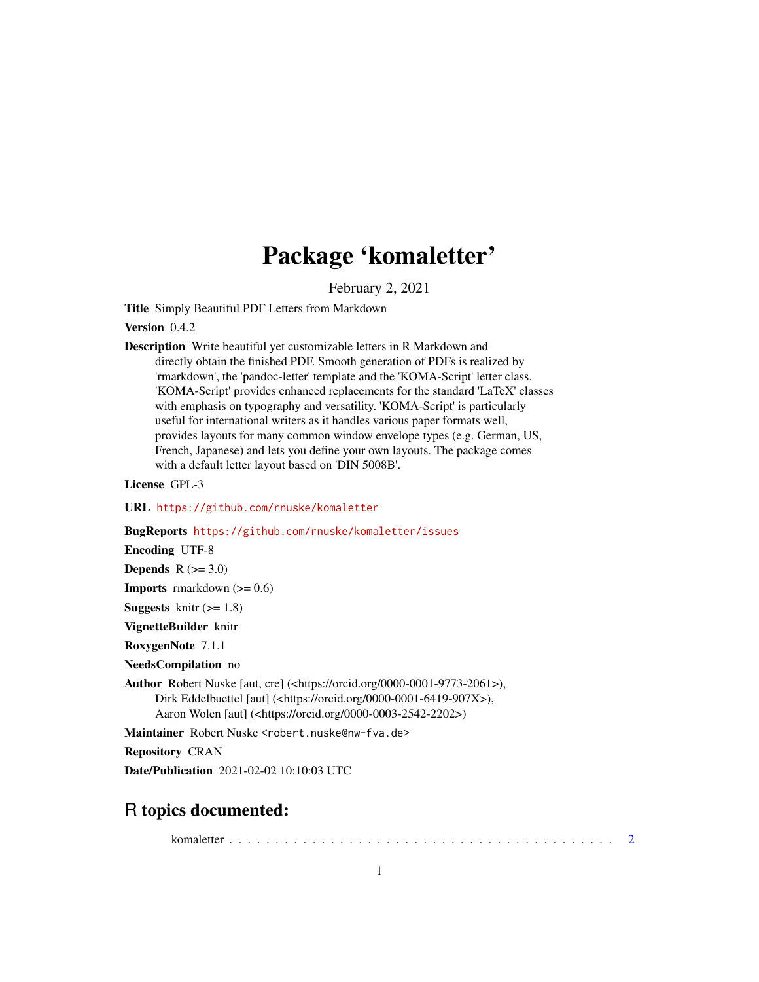## Package 'komaletter'

February 2, 2021

<span id="page-0-0"></span>Title Simply Beautiful PDF Letters from Markdown

Version 0.4.2

Description Write beautiful yet customizable letters in R Markdown and directly obtain the finished PDF. Smooth generation of PDFs is realized by 'rmarkdown', the 'pandoc-letter' template and the 'KOMA-Script' letter class. 'KOMA-Script' provides enhanced replacements for the standard 'LaTeX' classes with emphasis on typography and versatility. 'KOMA-Script' is particularly useful for international writers as it handles various paper formats well, provides layouts for many common window envelope types (e.g. German, US, French, Japanese) and lets you define your own layouts. The package comes with a default letter layout based on 'DIN 5008B'.

License GPL-3

URL <https://github.com/rnuske/komaletter>

BugReports <https://github.com/rnuske/komaletter/issues>

Encoding UTF-8

**Depends**  $R$  ( $>= 3.0$ )

**Imports** rmarkdown  $(>= 0.6)$ 

**Suggests** knitr  $(>= 1.8)$ 

VignetteBuilder knitr

RoxygenNote 7.1.1

NeedsCompilation no

Author Robert Nuske [aut, cre] (<https://orcid.org/0000-0001-9773-2061>), Dirk Eddelbuettel [aut] (<https://orcid.org/0000-0001-6419-907X>), Aaron Wolen [aut] (<https://orcid.org/0000-0003-2542-2202>)

Maintainer Robert Nuske <robert.nuske@nw-fva.de>

Repository CRAN

Date/Publication 2021-02-02 10:10:03 UTC

### R topics documented:

komaletter . . . . . . . . . . . . . . . . . . . . . . . . . . . . . . . . . . . . . . . . . . [2](#page-1-0)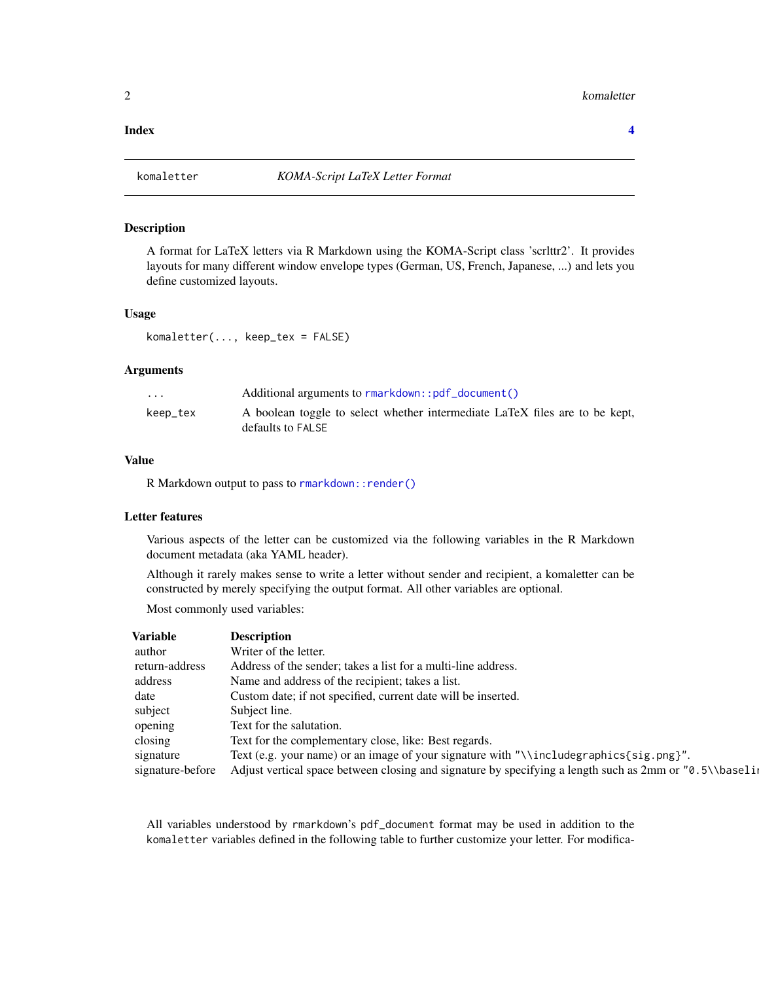#### <span id="page-1-0"></span>**Index** [4](#page-3-0)

#### Description

A format for LaTeX letters via R Markdown using the KOMA-Script class 'scrlttr2'. It provides layouts for many different window envelope types (German, US, French, Japanese, ...) and lets you define customized layouts.

#### Usage

komaletter(..., keep\_tex = FALSE)

#### Arguments

| $\cdot$ $\cdot$ $\cdot$ | Additional arguments to rmarkdown::pdf_document()                                                |
|-------------------------|--------------------------------------------------------------------------------------------------|
| keep_tex                | A boolean toggle to select whether intermediate LaTeX files are to be kept,<br>defaults to FALSE |

#### Value

R Markdown output to pass to [rmarkdown::render\(\)](#page-0-0)

#### Letter features

Various aspects of the letter can be customized via the following variables in the R Markdown document metadata (aka YAML header).

Although it rarely makes sense to write a letter without sender and recipient, a komaletter can be constructed by merely specifying the output format. All other variables are optional.

Most commonly used variables:

| <b>Variable</b>  | <b>Description</b>                                                                                       |
|------------------|----------------------------------------------------------------------------------------------------------|
| author           | Writer of the letter.                                                                                    |
| return-address   | Address of the sender; takes a list for a multi-line address.                                            |
| address          | Name and address of the recipient; takes a list.                                                         |
| date             | Custom date; if not specified, current date will be inserted.                                            |
| subject          | Subject line.                                                                                            |
| opening          | Text for the salutation.                                                                                 |
| closing          | Text for the complementary close, like: Best regards.                                                    |
| signature        | Text (e.g. your name) or an image of your signature with "\\includegraphics{sig.png}".                   |
| signature-before | Adjust vertical space between closing and signature by specifying a length such as $2mm$ or "0.5\\base1i |

All variables understood by rmarkdown's pdf\_document format may be used in addition to the komaletter variables defined in the following table to further customize your letter. For modifica-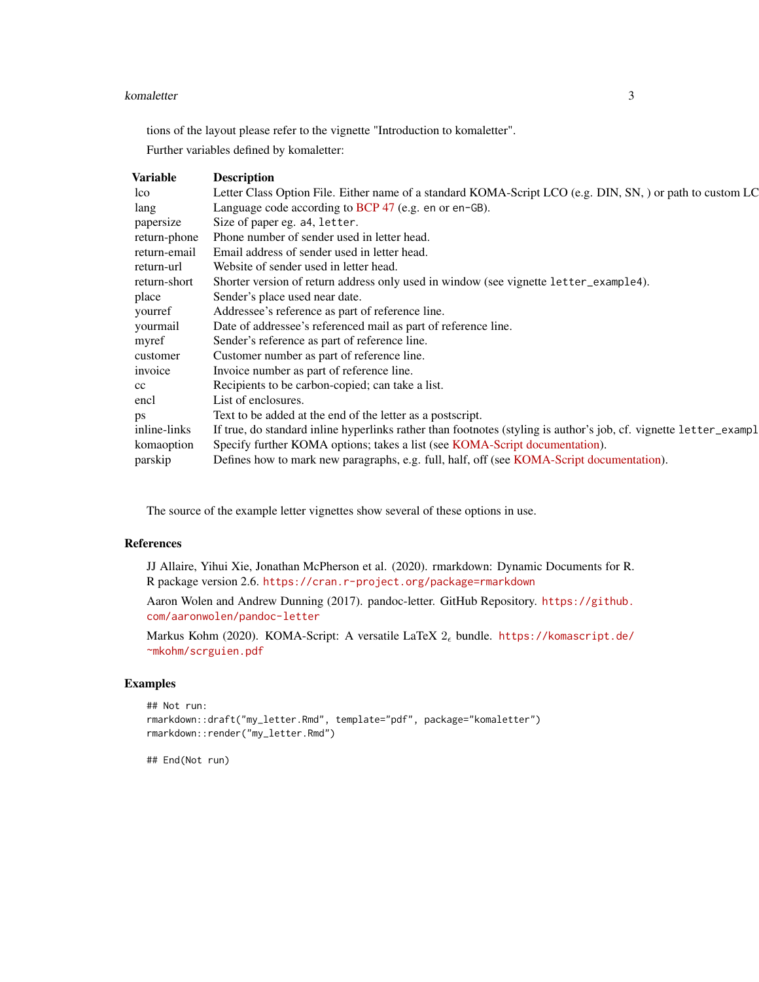#### komaletter 3

tions of the layout please refer to the vignette "Introduction to komaletter".

Further variables defined by komaletter:

| Variable     | <b>Description</b>                                                                                                |
|--------------|-------------------------------------------------------------------------------------------------------------------|
| lco          | Letter Class Option File. Either name of a standard KOMA-Script LCO (e.g. DIN, SN, ) or path to custom LC         |
| lang         | Language code according to BCP $47$ (e.g. en or en-GB).                                                           |
| papersize    | Size of paper eg. a4, letter.                                                                                     |
| return-phone | Phone number of sender used in letter head.                                                                       |
| return-email | Email address of sender used in letter head.                                                                      |
| return-url   | Website of sender used in letter head.                                                                            |
| return-short | Shorter version of return address only used in window (see vignette letter_example4).                             |
| place        | Sender's place used near date.                                                                                    |
| yourref      | Addressee's reference as part of reference line.                                                                  |
| yourmail     | Date of addressee's referenced mail as part of reference line.                                                    |
| myref        | Sender's reference as part of reference line.                                                                     |
| customer     | Customer number as part of reference line.                                                                        |
| invoice      | Invoice number as part of reference line.                                                                         |
| cc           | Recipients to be carbon-copied; can take a list.                                                                  |
| encl         | List of enclosures.                                                                                               |
| ps           | Text to be added at the end of the letter as a postscript.                                                        |
| inline-links | If true, do standard inline hyperlinks rather than footnotes (styling is author's job, cf. vignette letter_exampl |
| komaoption   | Specify further KOMA options; takes a list (see KOMA-Script documentation).                                       |
| parskip      | Defines how to mark new paragraphs, e.g. full, half, off (see KOMA-Script documentation).                         |
|              |                                                                                                                   |

The source of the example letter vignettes show several of these options in use.

#### References

JJ Allaire, Yihui Xie, Jonathan McPherson et al. (2020). rmarkdown: Dynamic Documents for R. R package version 2.6. <https://cran.r-project.org/package=rmarkdown>

Aaron Wolen and Andrew Dunning (2017). pandoc-letter. GitHub Repository. [https://github.](https://github.com/aaronwolen/pandoc-letter) [com/aaronwolen/pandoc-letter](https://github.com/aaronwolen/pandoc-letter)

Markus Kohm (2020). KOMA-Script: A versatile LaTeX  $2_{\epsilon}$  bundle. [https://komascript.de/](https://komascript.de/~mkohm/scrguien.pdf) [~mkohm/scrguien.pdf](https://komascript.de/~mkohm/scrguien.pdf)

#### Examples

```
## Not run:
rmarkdown::draft("my_letter.Rmd", template="pdf", package="komaletter")
rmarkdown::render("my_letter.Rmd")
```
## End(Not run)